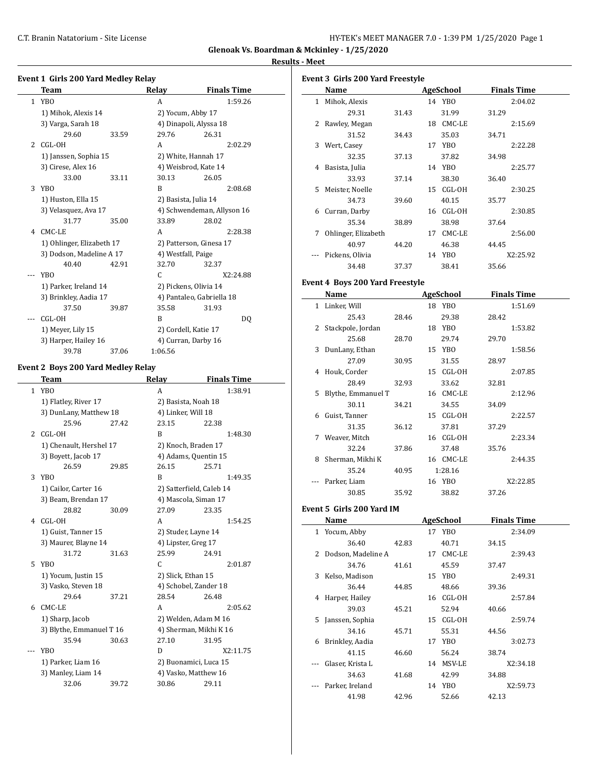**Glenoak Vs. Boardman & Mckinley - 1/25/2020**

# <mark>desults - M</mark>e

|       |                                                    |       |                    | <b>Glenoak Vs. Boardm</b>  |
|-------|----------------------------------------------------|-------|--------------------|----------------------------|
|       | <b>Event 1 Girls 200 Yard Medley Relay</b><br>Team |       | Relay              | <b>Finals Time</b>         |
|       | 1 YBO                                              |       | A                  | 1:59.26                    |
|       | 1) Mihok, Alexis 14                                |       |                    | 2) Yocum, Abby 17          |
|       | 3) Varga, Sarah 18                                 |       |                    | 4) Dinapoli, Alyssa 18     |
|       | 29.60                                              | 33.59 | 29.76              | 26.31                      |
|       | 2 CGL-OH                                           |       | A                  | 2:02.29                    |
|       | 1) Janssen, Sophia 15                              |       |                    | 2) White, Hannah 17        |
|       | 3) Cirese, Alex 16                                 |       |                    | 4) Weisbrod, Kate 14       |
|       | 33.00                                              | 33.11 | 30.13              | 26.05                      |
| 3     | YBO                                                |       | B                  | 2:08.68                    |
|       | 1) Huston, Ella 15                                 |       |                    | 2) Basista, Julia 14       |
|       | 3) Velasquez, Ava 17                               |       |                    | 4) Schwendeman, Allyson 16 |
|       | 31.77                                              | 35.00 | 33.89              | 28.02                      |
|       | 4 CMC-LE                                           |       | A                  | 2:28.38                    |
|       | 1) Ohlinger, Elizabeth 17                          |       |                    | 2) Patterson, Ginesa 17    |
|       | 3) Dodson, Madeline A 17                           |       | 4) Westfall, Paige |                            |
|       | 40.40                                              | 42.91 | 32.70              | 32.37                      |
| ---   | YB <sub>0</sub>                                    |       | C                  | X2:24.88                   |
|       | 1) Parker, Ireland 14                              |       |                    | 2) Pickens, Olivia 14      |
|       | 3) Brinkley, Aadia 17                              |       |                    | 4) Pantaleo, Gabriella 18  |
|       | 37.50                                              | 39.87 | 35.58              | 31.93                      |
| $---$ | CGL-OH                                             |       | B                  | DQ                         |
|       | 1) Meyer, Lily 15                                  |       |                    | 2) Cordell, Katie 17       |
|       | 3) Harper, Hailey 16                               |       |                    | 4) Curran, Darby 16        |
|       | 39.78                                              | 37.06 | 1:06.56            |                            |
|       |                                                    |       |                    |                            |
|       | <b>Event 2 Boys 200 Yard Medley Relay</b><br>Team  |       | Relay              | <b>Finals Time</b>         |
|       | 1 YBO                                              |       |                    | 1:38.91                    |
|       |                                                    |       | A                  |                            |
|       | 1) Flatley, River 17                               |       |                    | 2) Basista, Noah 18        |
|       | 3) DunLany, Matthew 18                             | 27.42 | 4) Linker, Will 18 |                            |
|       | 25.96                                              |       | 23.15              | 22.38                      |
| 2     | CGL-OH                                             |       | B                  | 1:48.30                    |
|       | 1) Chenault, Hershel 17                            |       |                    | 2) Knoch, Braden 17        |
|       | 3) Boyett, Jacob 17                                |       |                    | 4) Adams, Quentin 15       |
|       | 26.59                                              | 29.85 | 26.15              | 25.71                      |
| 3     | YBO                                                |       | B                  | 1:49.35                    |
|       | 1) Cailor, Carter 16                               |       |                    | 2) Satterfield, Caleb 14   |
|       | 3) Beam, Brendan 17                                |       |                    | 4) Mascola, Siman 17       |
|       | 28.82                                              | 30.09 | 27.09              | 23.35                      |
|       | 4 CGL-OH                                           |       | A                  | 1:54.25                    |
|       | 1) Guist, Tanner 15                                |       |                    | 2) Studer, Layne 14        |
|       | 3) Maurer, Blayne 14                               |       |                    | 4) Lipster, Greg 17        |
|       | 31.72                                              | 31.63 | 25.99              | 24.91                      |
|       | 5 YBO                                              |       | С                  | 2:01.87                    |
|       | 1) Yocum, Justin 15                                |       | 2) Slick, Ethan 15 |                            |
|       | 3) Vasko, Steven 18                                |       |                    | 4) Schobel, Zander 18      |
|       | 29.64                                              | 37.21 | 28.54              | 26.48                      |
|       |                                                    |       | A                  | 2:05.62                    |
| 6     | CMC-LE                                             |       |                    |                            |
|       | 1) Sharp, Jacob                                    |       |                    | 2) Welden, Adam M 16       |
|       | 3) Blythe, Emmanuel T 16                           |       |                    | 4) Sherman, Mikhi K 16     |
|       | 35.94                                              | 30.63 | 27.10              | 31.95                      |
|       | <b>YBO</b>                                         |       | D                  | X2:11.75                   |

3) Manley, Liam 14 4) Vasko, Matthew 16 32.06 39.72 30.86 29.11

|     | <b>Event 3 Girls 200 Yard Freestyle</b> |       |                    |                    |
|-----|-----------------------------------------|-------|--------------------|--------------------|
|     | <b>Name</b>                             |       | <b>AgeSchool</b>   | <b>Finals Time</b> |
|     | 1 Mihok, Alexis                         |       | 14 YBO             | 2:04.02            |
|     | 29.31                                   | 31.43 | 31.99              | 31.29              |
| 2   | Rawley, Megan                           |       | 18 CMC-LE          | 2:15.69            |
|     | 31.52                                   | 34.43 | 35.03              | 34.71              |
|     | 3 Wert, Casey                           |       | 17 YBO             | 2:22.28            |
|     | 32.35                                   | 37.13 | 37.82              | 34.98              |
| 4   | Basista, Julia                          |       | 14 YBO             | 2:25.77            |
|     | 33.93                                   | 37.14 | 38.30              | 36.40              |
| 5   | Meister, Noelle                         |       | 15 CGL-OH          | 2:30.25            |
|     | 34.73                                   | 39.60 | 40.15              | 35.77              |
|     | 6 Curran, Darby                         |       | 16 CGL-OH          | 2:30.85            |
|     | 35.34                                   | 38.89 | 38.98              | 37.64              |
| 7   | Ohlinger, Elizabeth                     |       | 17 CMC-LE          | 2:56.00            |
|     | 40.97                                   | 44.20 | 46.38              | 44.45              |
|     | Pickens, Olivia                         |       | 14 YBO             | X2:25.92           |
|     | 34.48                                   | 37.37 | 38.41              | 35.66              |
|     |                                         |       |                    |                    |
|     | Event 4 Boys 200 Yard Freestyle         |       |                    |                    |
|     | Name                                    |       | <b>AgeSchool</b>   | <b>Finals Time</b> |
|     | 1 Linker, Will                          |       | 18 YBO             | 1:51.69            |
|     | 25.43                                   | 28.46 | 29.38              | 28.42              |
| 2   | Stackpole, Jordan                       |       | 18 YBO             | 1:53.82            |
|     | 25.68                                   | 28.70 | 29.74              | 29.70              |
| 3   | DunLany, Ethan                          |       | 15 YBO             | 1:58.56            |
|     | 27.09                                   | 30.95 | 31.55              | 28.97              |
| 4   | Houk, Corder                            |       | 15 CGL-OH          | 2:07.85            |
|     | 28.49                                   | 32.93 | 33.62              | 32.81              |
| 5   | Blythe, Emmanuel T                      |       | 16 CMC-LE          | 2:12.96            |
|     | 30.11                                   | 34.21 | 34.55              | 34.09              |
|     | 6 Guist, Tanner                         |       | 15 CGL-OH          | 2:22.57            |
|     | 31.35                                   | 36.12 | 37.81              | 37.29              |
|     | 7 Weaver, Mitch                         |       | 16 CGL-OH          | 2:23.34            |
|     | 32.24                                   | 37.86 | 37.48              | 35.76              |
| 8   | Sherman, Mikhi K                        |       | 16 CMC-LE          | 2:44.35            |
|     | 35.24                                   | 40.95 | 1:28.16            |                    |
|     | Parker, Liam                            |       | 16 YBO             | X2:22.85           |
|     | 30.85                                   | 35.92 | 38.82              | 37.26              |
|     | Event 5 Girls 200 Yard IM               |       |                    |                    |
|     | Name                                    |       | <b>AgeSchool</b>   | <b>Finals Time</b> |
|     | 1 Yocum, Abby                           |       | 17 YBO             | 2:34.09            |
|     | 36.40                                   | 42.83 | 40.71              | 34.15              |
|     | 2 Dodson, Madeline A                    |       | 17 CMC-LE          | 2:39.43            |
|     | 34.76                                   | 41.61 | 45.59              | 37.47              |
| 3   | Kelso, Madison                          |       | 15 YBO             | 2:49.31            |
|     | 36.44                                   | 44.85 | 48.66              | 39.36              |
|     |                                         |       |                    |                    |
| 4   | Harper, Hailey<br>39.03                 | 45.21 | 16 CGL-OH<br>52.94 | 2:57.84            |
|     |                                         |       |                    | 40.66              |
| 5   | Janssen, Sophia                         |       | 15 CGL-OH          | 2:59.74            |
|     | 34.16                                   | 45.71 | 55.31              | 44.56              |
| 6   | Brinkley, Aadia                         |       | 17 YBO             | 3:02.73            |
|     | 41.15                                   | 46.60 | 56.24              | 38.74              |
| --- | Glaser, Krista L                        |       | 14 MSV-LE          | X2:34.18           |
|     | 34.63                                   | 41.68 | 42.99              | 34.88              |
|     | Parker, Ireland                         |       | 14 YBO             | X2:59.73           |
|     | 41.98                                   | 42.96 | 52.66              | 42.13              |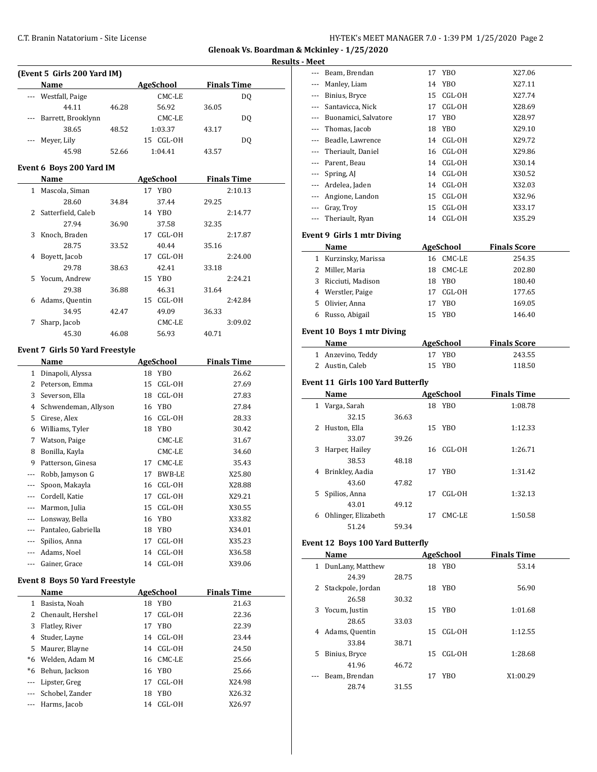**Glenoak Vs. Boardman & Mckinley - 1/25/2020 Results - Meet**

|              |                                       |       |                           |                    | Resu |
|--------------|---------------------------------------|-------|---------------------------|--------------------|------|
|              | (Event 5 Girls 200 Yard IM)           |       |                           |                    |      |
|              | Name                                  |       | <b>AgeSchool</b>          | <b>Finals Time</b> |      |
|              | --- Westfall, Paige                   |       | CMC-LE                    | DQ                 |      |
|              | 44.11                                 | 46.28 | 56.92                     | 36.05              |      |
| ---          | Barrett, Brooklynn                    |       | CMC-LE                    | DQ                 |      |
|              | 38.65                                 | 48.52 | 1:03.37                   | 43.17              |      |
|              | Meyer, Lily                           |       | 15 CGL-OH                 | DQ                 |      |
|              | 45.98                                 | 52.66 | 1:04.41                   | 43.57              |      |
|              | Event 6 Boys 200 Yard IM              |       |                           |                    |      |
|              | Name                                  |       | <b>AgeSchool</b>          | <b>Finals Time</b> |      |
| $\mathbf{1}$ | Mascola, Siman                        |       | YBO<br>17                 | 2:10.13            |      |
|              | 28.60                                 | 34.84 | 37.44                     | 29.25              |      |
| 2            | Satterfield, Caleb                    |       | 14 YBO                    | 2:14.77            |      |
|              | 27.94                                 | 36.90 | 37.58                     | 32.35              |      |
| 3            | Knoch, Braden                         |       | CGL-OH<br>17              | 2:17.87            |      |
|              | 28.75                                 | 33.52 | 40.44                     | 35.16              |      |
| 4            | Boyett, Jacob                         |       | CGL-OH<br>17              | 2:24.00            |      |
|              | 29.78                                 | 38.63 | 42.41                     | 33.18              |      |
| 5            | Yocum, Andrew                         |       | 15<br><b>YBO</b>          | 2:24.21            |      |
|              | 29.38                                 | 36.88 | 46.31                     | 31.64              |      |
| 6            | Adams, Quentin                        |       | 15<br>CGL-OH              | 2:42.84            |      |
|              | 34.95                                 | 42.47 | 49.09                     | 36.33              |      |
| 7            | Sharp, Jacob                          |       | CMC-LE                    | 3:09.02            |      |
|              | 45.30                                 | 46.08 | 56.93                     | 40.71              |      |
|              |                                       |       |                           |                    |      |
|              | Event 7 Girls 50 Yard Freestyle       |       |                           |                    |      |
|              | Name                                  |       | <b>AgeSchool</b>          | <b>Finals Time</b> |      |
|              | 1 Dinapoli, Alyssa                    |       | YBO<br>18                 | 26.62              |      |
|              | 2 Peterson, Emma                      |       | 15<br>CGL-OH              | 27.69              |      |
| 3            | Severson, Ella                        |       | 18<br>CGL-OH              | 27.83              |      |
| 4            | Schwendeman, Allyson                  |       | 16 YBO                    | 27.84              |      |
| 5            | Cirese, Alex                          |       | CGL-OH<br>16              | 28.33              |      |
| 6            | Williams, Tyler                       |       | <b>YBO</b><br>18          | 30.42              |      |
| 7            | Watson, Paige                         |       | CMC-LE                    | 31.67              |      |
| 8            | Bonilla, Kayla                        |       | CMC-LE                    | 34.60              |      |
| 9            | Patterson, Ginesa                     |       | 17<br>CMC-LE              | 35.43              |      |
| ---          | Robb, Jamyson G                       |       | 17<br>BWB-LE              | X25.80             |      |
| ---          | Spoon, Makayla                        |       | 16 CGL-OH                 | X28.88             |      |
|              | --- Cordell, Katie                    |       | 17<br>CGL-OH              | X29.21             |      |
|              | --- Marmon, Julia                     |       | 15<br>CGL-OH              | X30.55             |      |
|              | --- Lonsway, Bella                    |       | 16<br>YB <sub>0</sub>     | X33.82             |      |
|              | --- Pantaleo, Gabriella               |       | 18<br>YBO                 | X34.01             |      |
|              | --- Spilios, Anna                     |       | 17<br>CGL-OH              | X35.23             |      |
|              | --- Adams, Noel                       |       | CGL-OH<br>14              | X36.58             |      |
|              | --- Gainer, Grace                     |       | CGL-OH<br>14              | X39.06             |      |
|              | <b>Event 8 Boys 50 Yard Freestyle</b> |       |                           |                    |      |
|              | Name                                  |       | <b>AgeSchool</b>          | <b>Finals Time</b> |      |
|              | 1 Basista, Noah                       |       | YB <sub>0</sub><br>18     | 21.63              |      |
|              | 2 Chenault, Hershel                   |       | 17<br>CGL-OH              | 22.36              |      |
| 3            | Flatley, River                        |       | 17<br>YBO                 | 22.39              |      |
| 4            | Studer, Layne                         |       | CGL-OH<br>14              | 23.44              |      |
| 5            | Maurer, Blayne                        |       | 14<br>CGL-OH              | 24.50              |      |
| *6           | Welden, Adam M                        |       | CMC-LE<br>16              | 25.66              |      |
|              | *6 Behun, Jackson                     |       | YBO<br>16                 | 25.66              |      |
|              |                                       |       | 17<br>CGL-OH              | X24.98             |      |
|              |                                       |       |                           |                    |      |
|              | --- Lipster, Greg                     |       |                           |                    |      |
| ---          | --- Schobel, Zander<br>Harms, Jacob   |       | 18<br>YBO<br>14<br>CGL-OH | X26.32<br>X26.97   |      |

| ---   | Beam, Brendan                                   |       | 17 | YBO                        | X27.06                        |  |
|-------|-------------------------------------------------|-------|----|----------------------------|-------------------------------|--|
| ---   | Manley, Liam                                    |       | 14 | YB <sub>0</sub>            | X27.11                        |  |
|       | --- Binius, Bryce                               |       | 15 | CGL-OH                     | X27.74                        |  |
|       | --- Santavicca, Nick                            |       | 17 | CGL-OH                     | X28.69                        |  |
|       | --- Buonamici, Salvatore                        |       | 17 | YB <sub>0</sub>            | X28.97                        |  |
|       | --- Thomas, Jacob                               |       | 18 | <b>YBO</b>                 | X29.10                        |  |
|       | --- Beadle, Lawrence                            |       | 14 | CGL-OH                     | X29.72                        |  |
|       | --- Theriault, Daniel                           |       | 16 | CGL-OH                     | X29.86                        |  |
|       | --- Parent, Beau                                |       |    | 14 CGL-OH                  | X30.14                        |  |
|       | --- Spring, AJ                                  |       |    | 14 CGL-OH                  | X30.52                        |  |
|       | --- Ardelea, Jaden                              |       |    | 14 CGL-OH                  | X32.03                        |  |
|       | --- Angione, Landon                             |       |    | 15 CGL-OH                  | X32.96                        |  |
|       | --- Gray, Troy                                  |       |    | 15 CGL-OH                  | X33.17                        |  |
| $---$ | Theriault, Ryan                                 |       |    | 14 CGL-OH                  | X35.29                        |  |
|       | Event 9 Girls 1 mtr Diving                      |       |    |                            |                               |  |
|       | Name                                            |       |    | <b>AgeSchool</b>           | <b>Finals Score</b>           |  |
|       | 1 Kurzinsky, Marissa                            |       |    | 16 CMC-LE                  | 254.35                        |  |
|       | 2 Miller, Maria                                 |       | 18 | CMC-LE                     | 202.80                        |  |
| 3     | Ricciuti, Madison                               |       |    | 18 YBO                     | 180.40                        |  |
|       | 4 Werstler, Paige                               |       | 17 | CGL-OH                     |                               |  |
|       | 5 Olivier, Anna                                 |       |    | 17 YBO                     | 177.65<br>169.05              |  |
| 6     | Russo, Abigail                                  |       | 15 | <b>YBO</b>                 | 146.40                        |  |
|       |                                                 |       |    |                            |                               |  |
|       | <b>Event 10 Boys 1 mtr Diving</b>               |       |    |                            |                               |  |
|       | <b>Name</b>                                     |       |    | <b>AgeSchool</b>           | <b>Finals Score</b>           |  |
|       | 1 Anzevino, Teddy                               |       |    | 17 YBO                     | 243.55                        |  |
|       | 2 Austin, Caleb                                 |       | 15 | <b>YBO</b>                 | 118.50                        |  |
|       | Event 11 Girls 100 Yard Butterfly               |       |    |                            |                               |  |
|       |                                                 |       |    |                            |                               |  |
|       | Name                                            |       |    |                            |                               |  |
|       | 1 Varga, Sarah                                  |       |    | <b>AgeSchool</b><br>18 YBO | <b>Finals Time</b><br>1:08.78 |  |
|       | 32.15                                           | 36.63 |    |                            |                               |  |
| 2     | Huston, Ella                                    |       |    | 15 YBO                     | 1:12.33                       |  |
|       | 33.07                                           | 39.26 |    |                            |                               |  |
| 3     | Harper, Hailey                                  |       | 16 | CGL-OH                     | 1:26.71                       |  |
|       | 38.53                                           | 48.18 |    |                            |                               |  |
| 4     | Brinkley, Aadia                                 |       |    | 17 YBO                     | 1:31.42                       |  |
|       | 43.60                                           | 47.82 |    |                            |                               |  |
| 5     | Spilios, Anna                                   |       | 17 | CGL-OH                     | 1:32.13                       |  |
|       | 43.01                                           | 49.12 |    |                            |                               |  |
|       | 6 Ohlinger, Elizabeth                           |       | 17 | CMC-LE                     | 1:50.58                       |  |
|       | 51.24                                           | 59.34 |    |                            |                               |  |
|       |                                                 |       |    |                            |                               |  |
|       | <b>Event 12 Boys 100 Yard Butterfly</b><br>Name |       |    | AgeSchool_______           | <b>Finals Time</b>            |  |
|       | 1 DunLany, Matthew                              |       |    | 18 YBO                     | 53.14                         |  |
|       | 24.39                                           | 28.75 |    |                            |                               |  |
| 2     | Stackpole, Jordan                               |       |    | 18 YBO                     | 56.90                         |  |
|       | 26.58                                           | 30.32 |    |                            |                               |  |
| 3     | Yocum, Justin                                   |       |    | 15 YBO                     | 1:01.68                       |  |
|       | 28.65                                           | 33.03 |    |                            |                               |  |
| 4     | Adams, Quentin                                  |       | 15 | CGL-OH                     | 1:12.55                       |  |
|       | 33.84                                           | 38.71 |    |                            |                               |  |
| 5     | Binius, Bryce                                   |       | 15 | CGL-OH                     | 1:28.68                       |  |
|       | 41.96                                           | 46.72 |    |                            |                               |  |
|       | Beam, Brendan                                   |       |    | 17 YBO                     | X1:00.29                      |  |
|       | 28.74                                           | 31.55 |    |                            |                               |  |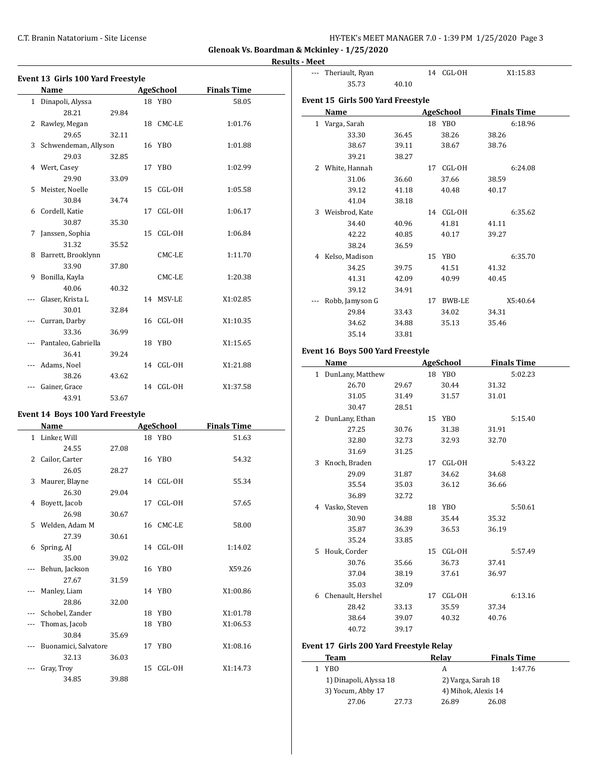$\overline{a}$ 

**Glenoak Vs. Boardman & Mckinley - 1/25/2020**

#### **Results - Meet**

|              | Event 13 Girls 100 Yard Freestyle |       |    |           |                    |
|--------------|-----------------------------------|-------|----|-----------|--------------------|
|              | Name                              |       |    | AgeSchool | <b>Finals Time</b> |
| $\mathbf{1}$ | Dinapoli, Alyssa                  |       |    | 18 YBO    | 58.05              |
|              | 28.21                             | 29.84 |    |           |                    |
| 2            | Rawley, Megan                     |       |    | 18 CMC-LE | 1:01.76            |
|              | 29.65                             | 32.11 |    |           |                    |
|              | 3 Schwendeman, Allyson            |       |    | 16 YBO    | 1:01.88            |
|              | 29.03                             | 32.85 |    |           |                    |
| 4            | Wert, Casey                       |       |    | 17 YBO    | 1:02.99            |
|              | 29.90                             | 33.09 |    |           |                    |
| 5            | Meister, Noelle                   |       |    | 15 CGL-OH | 1:05.58            |
|              | 30.84                             | 34.74 |    |           |                    |
| 6            | Cordell, Katie                    |       |    | 17 CGL-OH | 1:06.17            |
|              | 30.87                             | 35.30 |    |           |                    |
| 7            | Janssen, Sophia                   |       | 15 | CGL-OH    | 1:06.84            |
|              | 31.32                             | 35.52 |    |           |                    |
| 8            | Barrett, Brooklynn                |       |    | CMC-LE    | 1:11.70            |
|              | 33.90                             | 37.80 |    |           |                    |
| 9            | Bonilla, Kayla                    |       |    | CMC-LE    | 1:20.38            |
|              | 40.06                             | 40.32 |    |           |                    |
|              | Glaser, Krista L                  |       |    | 14 MSV-LE | X1:02.85           |
|              | 30.01                             | 32.84 |    |           |                    |
|              | Curran, Darby                     |       |    | 16 CGL-OH | X1:10.35           |
|              | 33.36                             | 36.99 |    |           |                    |
|              | Pantaleo, Gabriella               |       |    | 18 YBO    | X1:15.65           |
|              | 36.41                             | 39.24 |    |           |                    |
|              | Adams, Noel                       |       |    | 14 CGL-OH | X1:21.88           |
|              | 38.26                             | 43.62 |    |           |                    |
|              | Gainer, Grace                     |       |    | 14 CGL-OH | X1:37.58           |
|              | 43.91                             | 53.67 |    |           |                    |

| Event 14 Boys 100 Yard Freestyle |  |
|----------------------------------|--|
|----------------------------------|--|

|    | Name                 |       |    | AgeSchool | <b>Finals Time</b> |
|----|----------------------|-------|----|-----------|--------------------|
|    | 1 Linker, Will       |       |    | 18 YBO    | 51.63              |
|    | 24.55                | 27.08 |    |           |                    |
| 2  | Cailor, Carter       |       |    | 16 YBO    | 54.32              |
|    | 26.05                | 28.27 |    |           |                    |
| 3  | Maurer, Blayne       |       |    | 14 CGL-OH | 55.34              |
|    | 26.30                | 29.04 |    |           |                    |
| 4  | Boyett, Jacob        |       |    | 17 CGL-OH | 57.65              |
|    | 26.98                | 30.67 |    |           |                    |
| 5. | Welden, Adam M       |       |    | 16 CMC-LE | 58.00              |
|    | 27.39                | 30.61 |    |           |                    |
| 6  | Spring, AJ           |       |    | 14 CGL-OH | 1:14.02            |
|    | 35.00                | 39.02 |    |           |                    |
|    | Behun, Jackson       |       |    | 16 YBO    | X59.26             |
|    | 27.67                | 31.59 |    |           |                    |
|    | Manley, Liam         |       |    | 14 YBO    | X1:00.86           |
|    | 28.86                | 32.00 |    |           |                    |
|    | Schobel, Zander      |       |    | 18 YBO    | X1:01.78           |
|    | Thomas, Jacob        |       |    | 18 YBO    | X1:06.53           |
|    | 30.84                | 35.69 |    |           |                    |
|    | Buonamici, Salvatore |       |    | 17 YBO    | X1:08.16           |
|    | 32.13                | 36.03 |    |           |                    |
|    | Gray, Troy           |       | 15 | CGL-OH    | X1:14.73           |
|    | 34.85                | 39.88 |    |           |                    |

| s - meet |                                   |       |    |                  |                    |  |
|----------|-----------------------------------|-------|----|------------------|--------------------|--|
|          | Theriault, Ryan                   |       |    | 14 CGL-OH        | X1:15.83           |  |
|          | 35.73                             | 40.10 |    |                  |                    |  |
|          | Event 15 Girls 500 Yard Freestyle |       |    |                  |                    |  |
|          | Name                              |       |    | <b>AgeSchool</b> | <b>Finals Time</b> |  |
|          | 1 Varga, Sarah                    |       | 18 | YBO              | 6:18.96            |  |
|          | 33.30                             | 36.45 |    | 38.26            | 38.26              |  |
|          | 38.67                             | 39.11 |    | 38.67            | 38.76              |  |
|          | 39.21                             | 38.27 |    |                  |                    |  |
| 2        | White, Hannah                     |       | 17 | CGL-OH           | 6:24.08            |  |
|          | 31.06                             | 36.60 |    | 37.66            | 38.59              |  |
|          | 39.12                             | 41.18 |    | 40.48            | 40.17              |  |
|          | 41.04                             | 38.18 |    |                  |                    |  |
| 3        | Weisbrod, Kate                    |       |    | 14 CGL-OH        | 6:35.62            |  |
|          | 34.40                             | 40.96 |    | 41.81            | 41.11              |  |
|          | 42.22                             | 40.85 |    | 40.17            | 39.27              |  |
|          | 38.24                             | 36.59 |    |                  |                    |  |
| 4        | Kelso, Madison                    |       |    | 15 YBO           | 6:35.70            |  |
|          | 34.25                             | 39.75 |    | 41.51            | 41.32              |  |
|          | 41.31                             | 42.09 |    | 40.99            | 40.45              |  |
|          | 39.12                             | 34.91 |    |                  |                    |  |
|          | Robb, Jamyson G                   |       |    | 17 BWB-LE        | X5:40.64           |  |
|          | 29.84                             | 33.43 |    | 34.02            | 34.31              |  |
|          | 34.62                             | 34.88 |    | 35.13            | 35.46              |  |
|          | 35.14                             | 33.81 |    |                  |                    |  |
|          |                                   |       |    |                  |                    |  |

#### **Event 16 Boys 500 Yard Freestyle**

|   | Name               |       | <b>AgeSchool</b> |       | <b>Finals Time</b> |
|---|--------------------|-------|------------------|-------|--------------------|
|   | 1 DunLany, Matthew |       | 18 YBO           |       | 5:02.23            |
|   | 26.70              | 29.67 | 30.44            | 31.32 |                    |
|   | 31.05              | 31.49 | 31.57            | 31.01 |                    |
|   | 30.47              | 28.51 |                  |       |                    |
| 2 | DunLany, Ethan     |       | 15 YBO           |       | 5:15.40            |
|   | 27.25              | 30.76 | 31.38            | 31.91 |                    |
|   | 32.80              | 32.73 | 32.93            | 32.70 |                    |
|   | 31.69              | 31.25 |                  |       |                    |
| 3 | Knoch, Braden      |       | 17 CGL-OH        |       | 5:43.22            |
|   | 29.09              | 31.87 | 34.62            | 34.68 |                    |
|   | 35.54              | 35.03 | 36.12            | 36.66 |                    |
|   | 36.89              | 32.72 |                  |       |                    |
| 4 | Vasko, Steven      |       | 18 YBO           |       | 5:50.61            |
|   | 30.90              | 34.88 | 35.44            | 35.32 |                    |
|   | 35.87              | 36.39 | 36.53            | 36.19 |                    |
|   | 35.24              | 33.85 |                  |       |                    |
| 5 | Houk, Corder       |       | 15 CGL-OH        |       | 5:57.49            |
|   | 30.76              | 35.66 | 36.73            | 37.41 |                    |
|   | 37.04              | 38.19 | 37.61            | 36.97 |                    |
|   | 35.03              | 32.09 |                  |       |                    |
| 6 | Chenault, Hershel  |       | 17 CGL-OH        |       | 6:13.16            |
|   | 28.42              | 33.13 | 35.59            | 37.34 |                    |
|   | 38.64              | 39.07 | 40.32            | 40.76 |                    |
|   | 40.72              | 39.17 |                  |       |                    |

## **Event 17 Girls 200 Yard Freestyle Relay**

| Team                   |       | Relav               | <b>Finals Time</b> |         |
|------------------------|-------|---------------------|--------------------|---------|
| YBO                    |       | А                   |                    | 1:47.76 |
| 1) Dinapoli, Alyssa 18 |       | 2) Varga, Sarah 18  |                    |         |
| 3) Yocum, Abby 17      |       | 4) Mihok, Alexis 14 |                    |         |
| 27.06                  | 27.73 | 26.89               | 26.08              |         |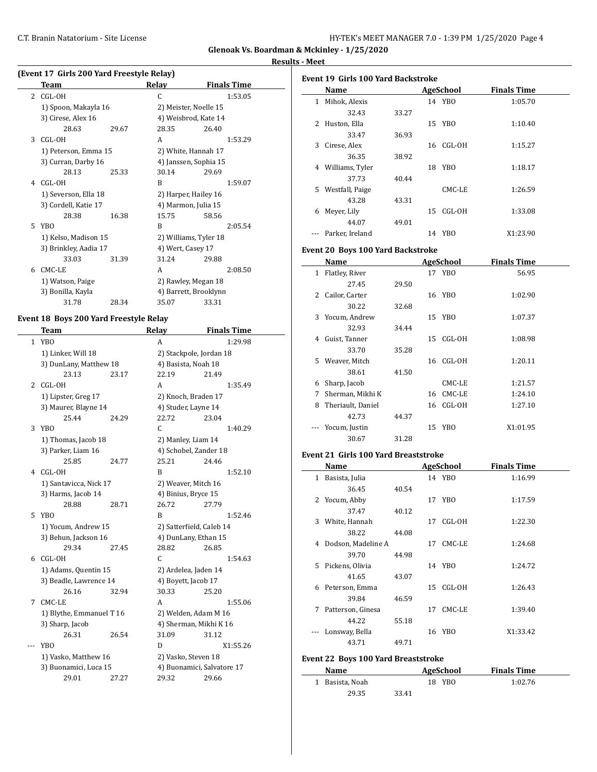**Glenoak Vs. Boardman & Mckinley - 1/25/2020**

J,

 $\overline{\phantom{a}}$ 

#### **Results - Meet**

|   |                                           |       |                   | Glenoak Vs. Board     |
|---|-------------------------------------------|-------|-------------------|-----------------------|
|   |                                           |       |                   |                       |
|   | (Event 17 Girls 200 Yard Freestyle Relay) |       |                   |                       |
|   | <b>Team</b>                               |       | Relay             | <b>Finals Time</b>    |
|   | 2 CGL-OH                                  |       | C                 | 1:53.05               |
|   | 1) Spoon, Makayla 16                      |       |                   | 2) Meister, Noelle 15 |
|   | 3) Cirese, Alex 16                        |       |                   | 4) Weisbrod, Kate 14  |
|   | 28.63                                     | 29.67 | 28.35             | 26.40                 |
| 3 | CGL-OH                                    |       | A                 | 1:53.29               |
|   | 1) Peterson, Emma 15                      |       |                   | 2) White, Hannah 17   |
|   | 3) Curran, Darby 16                       |       |                   | 4) Janssen, Sophia 15 |
|   | 28.13                                     | 25.33 | 30.14             | 29.69                 |
| 4 | CGL-OH                                    |       | R                 | 1:59.07               |
|   | 1) Severson, Ella 18                      |       |                   | 2) Harper, Hailey 16  |
|   | 3) Cordell, Katie 17                      |       |                   | 4) Marmon, Julia 15   |
|   | 28.38                                     | 16.38 | 15.75             | 58.56                 |
| 5 | YBO                                       |       | B                 | 2:05.54               |
|   | 1) Kelso, Madison 15                      |       |                   | 2) Williams, Tyler 18 |
|   | 3) Brinkley, Aadia 17                     |       | 4) Wert, Casey 17 |                       |
|   | 33.03                                     | 31.39 | 31.24             | 29.88                 |
| 6 | CMC-LE                                    |       | A                 | 2:08.50               |
|   | 1) Watson, Paige                          |       |                   | 2) Rawley, Megan 18   |
|   | 3) Bonilla, Kayla                         |       |                   | 4) Barrett, Brooklynn |
|   | 31.78                                     | 28.34 | 35.07             | 33.31                 |

### **Event 18 Boys 200 Yard Freestyle Relay**

 $\overline{\phantom{0}}$ 

|       | <b>Team</b>              |       | Relay                 | <b>Finals Time</b>         |
|-------|--------------------------|-------|-----------------------|----------------------------|
| 1     | <b>YBO</b>               |       | A                     | 1:29.98                    |
|       | 1) Linker, Will 18       |       |                       | 2) Stackpole, Jordan 18    |
|       | 3) DunLany, Matthew 18   |       | 4) Basista, Noah 18   |                            |
|       | 23.13                    | 23.17 | 22.19                 | 21.49                      |
| 2     | CGL-OH                   |       | A                     | 1:35.49                    |
|       | 1) Lipster, Greg 17      |       | 2) Knoch, Braden 17   |                            |
|       | 3) Maurer, Blayne 14     |       | 4) Studer, Layne 14   |                            |
|       | 25.44                    | 24.29 | 22.72                 | 23.04                      |
| 3     | <b>YBO</b>               |       | $\mathsf{C}$          | 1:40.29                    |
|       | 1) Thomas, Jacob 18      |       | 2) Manley, Liam 14    |                            |
|       | 3) Parker, Liam 16       |       | 4) Schobel, Zander 18 |                            |
|       | 25.85                    | 24.77 | 25.21                 | 24.46                      |
| 4     | CGL-OH                   |       | B                     | 1:52.10                    |
|       | 1) Santavicca, Nick 17   |       | 2) Weaver, Mitch 16   |                            |
|       | 3) Harms, Jacob 14       |       | 4) Binius, Bryce 15   |                            |
|       | 28.88                    | 28.71 | 26.72                 | 27.79                      |
| 5     | <b>YBO</b>               |       | B                     | 1:52.46                    |
|       | 1) Yocum, Andrew 15      |       |                       | 2) Satterfield, Caleb 14   |
|       | 3) Behun, Jackson 16     |       | 4) DunLany, Ethan 15  |                            |
|       | 29.34                    | 27.45 | 28.82                 | 26.85                      |
| 6     | CGL-OH                   |       | $\mathsf{C}$          | 1:54.63                    |
|       | 1) Adams, Quentin 15     |       | 2) Ardelea, Jaden 14  |                            |
|       | 3) Beadle, Lawrence 14   |       | 4) Boyett, Jacob 17   |                            |
|       | 26.16                    | 32.94 | 30.33                 | 25.20                      |
| 7     | CMC-LE                   |       | A                     | 1:55.06                    |
|       | 1) Blythe, Emmanuel T 16 |       |                       | 2) Welden, Adam M 16       |
|       | 3) Sharp, Jacob          |       |                       | 4) Sherman, Mikhi K 16     |
|       | 26.31                    | 26.54 | 31.09                 | 31.12                      |
| $---$ | YBO                      |       | D                     | X1:55.26                   |
|       | 1) Vasko, Matthew 16     |       | 2) Vasko, Steven 18   |                            |
|       | 3) Buonamici, Luca 15    |       |                       | 4) Buonamici, Salvatore 17 |
|       | 29.01                    | 27.27 | 29.32                 | 29.66                      |

|              | Name            |       |    | AgeSchool | <b>Finals Time</b> |
|--------------|-----------------|-------|----|-----------|--------------------|
| $\mathbf{1}$ | Mihok, Alexis   |       |    | 14 YBO    | 1:05.70            |
|              | 32.43           | 33.27 |    |           |                    |
| 2            | Huston, Ella    |       |    | 15 YBO    | 1:10.40            |
|              | 33.47           | 36.93 |    |           |                    |
| 3            | Cirese, Alex    |       | 16 | CGL-OH    | 1:15.27            |
|              | 36.35           | 38.92 |    |           |                    |
| 4            | Williams, Tyler |       |    | 18 YBO    | 1:18.17            |
|              | 37.73           | 40.44 |    |           |                    |
| 5.           | Westfall, Paige |       |    | CMC-LE    | 1:26.59            |
|              | 43.28           | 43.31 |    |           |                    |
| 6            | Meyer, Lily     |       | 15 | CGL-OH    | 1:33.08            |
|              | 44.07           | 49.01 |    |           |                    |
|              | Parker, Ireland |       |    | 14 YBO    | X1:23.90           |
|              |                 |       |    |           |                    |

#### **Event 20 Boys 100 Yard Backstroke**

|     | Name              |       |    | AgeSchool | <b>Finals Time</b> |
|-----|-------------------|-------|----|-----------|--------------------|
| 1   | Flatley, River    |       |    | 17 YBO    | 56.95              |
|     | 27.45             | 29.50 |    |           |                    |
| 2   | Cailor, Carter    |       |    | 16 YBO    | 1:02.90            |
|     | 30.22             | 32.68 |    |           |                    |
| 3   | Yocum, Andrew     |       | 15 | YBO       | 1:07.37            |
|     | 32.93             | 34.44 |    |           |                    |
| 4   | Guist, Tanner     |       | 15 | CGL-OH    | 1:08.98            |
|     | 33.70             | 35.28 |    |           |                    |
| 5.  | Weaver, Mitch     |       | 16 | CGL-OH    | 1:20.11            |
|     | 38.61             | 41.50 |    |           |                    |
| 6   | Sharp, Jacob      |       |    | CMC-LE    | 1:21.57            |
| 7   | Sherman, Mikhi K  |       |    | 16 CMC-LE | 1:24.10            |
| 8   | Theriault, Daniel |       | 16 | CGL-OH    | 1:27.10            |
|     | 42.73             | 44.37 |    |           |                    |
| --- | Yocum, Justin     |       | 15 | YBO       | X1:01.95           |
|     | 30.67             | 31.28 |    |           |                    |

#### **Event 21 Girls 100 Yard Breaststroke**

|   | Name                 |       |    | <b>AgeSchool</b> | <b>Finals Time</b> |  |
|---|----------------------|-------|----|------------------|--------------------|--|
| 1 | Basista, Julia       |       |    | 14 YBO           | 1:16.99            |  |
|   | 36.45                | 40.54 |    |                  |                    |  |
|   | 2 Yocum, Abby        |       |    | 17 YBO           | 1:17.59            |  |
|   | 37.47                | 40.12 |    |                  |                    |  |
| 3 | White, Hannah        |       |    | 17 CGL-OH        | 1:22.30            |  |
|   | 38.22                | 44.08 |    |                  |                    |  |
|   | 4 Dodson, Madeline A |       |    | 17 CMC-LE        | 1:24.68            |  |
|   | 39.70                | 44.98 |    |                  |                    |  |
|   | 5 Pickens, Olivia    |       |    | 14 YBO           | 1:24.72            |  |
|   | 41.65                | 43.07 |    |                  |                    |  |
|   | 6 Peterson, Emma     |       |    | 15 CGL-OH        | 1:26.43            |  |
|   | 39.84                | 46.59 |    |                  |                    |  |
| 7 | Patterson, Ginesa    |       | 17 | CMC-LE           | 1:39.40            |  |
|   | 44.22                | 55.18 |    |                  |                    |  |
|   | Lonsway, Bella       |       | 16 | YBO              | X1:33.42           |  |
|   | 43.71                | 49.71 |    |                  |                    |  |

### **Event 22 Boys 100 Yard Breaststroke**

| Name            |       | AgeSchool | <b>Finals Time</b> |  |
|-----------------|-------|-----------|--------------------|--|
| 1 Basista, Noah |       | 18 YBO    | 1:02.76            |  |
| 29.35           | 33.41 |           |                    |  |